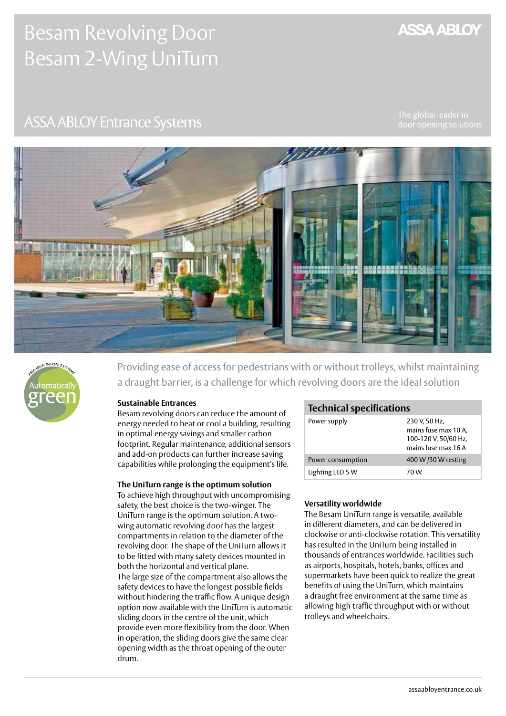# Besam Revolving Door Besam 2-Wing UniTurn

# **ASSA ABLOY**

# **ASSA ABLOY Entrance Systems**





Providing ease of access for pedestrians with or without trolleys, whilst maintaining a draught barrier, is a challenge for which revolving doors are the ideal solution

### **Sustainable Entrances**

Besam revolving doors can reduce the amount of energy needed to heat or cool a building, resulting in optimal energy savings and smaller carbon footprint. Regular maintenance, additional sensors and add-on products can further increase saving capabilities while prolonging the equipment's life.

#### **The UniTurn range is the optimum solution**

To achieve high throughput with uncompromising safety, the best choice is the two-winger. The UniTurn range is the optimum solution. A twowing automatic revolving door has the largest compartments in relation to the diameter of the revolving door. The shape of the UniTurn allows it to be fitted with many safety devices mounted in both the horizontal and vertical plane. The large size of the compartment also allows the safety devices to have the longest possible fields without hindering the traffic flow. A unique design option now available with the UniTurn is automatic sliding doors in the centre of the unit, which provide even more flexibility from the door. When in operation, the sliding doors give the same clear opening width as the throat opening of the outer drum.

# **Technical specifications**

| Power supply      | 230 V, 50 Hz,<br>mains fuse max 10 A,<br>100-120 V, 50/60 Hz,<br>mains fuse max 16 A |
|-------------------|--------------------------------------------------------------------------------------|
| Power consumption | 400 W /30 W resting                                                                  |
| Lighting LED 5 W  | 70 W                                                                                 |

#### **Versatility worldwide**

The Besam UniTurn range is versatile, available in different diameters, and can be delivered in clockwise or anti-clockwise rotation. This versatility has resulted in the UniTurn being installed in thousands of entrances worldwide. Facilities such as airports, hospitals, hotels, banks, offices and supermarkets have been quick to realize the great benefits of using the UniTurn, which maintains a draught free environment at the same time as allowing high traffic throughput with or without trolleys and wheelchairs.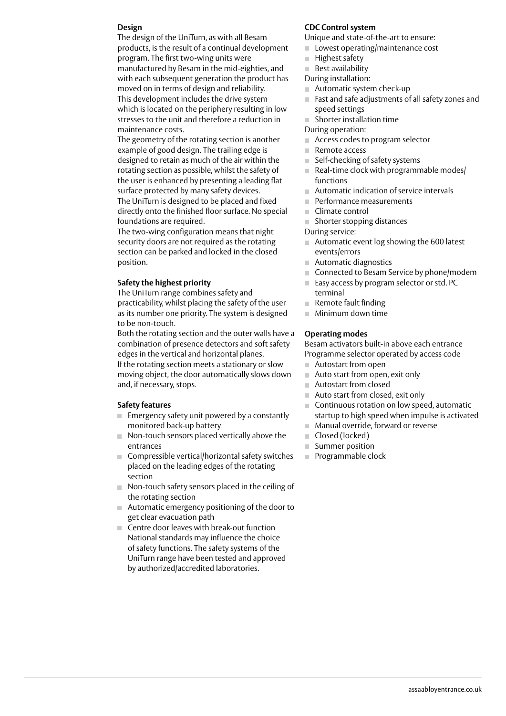#### **Design**

The design of the UniTurn, as with all Besam products, is the result of a continual development program. The first two-wing units were manufactured by Besam in the mid-eighties, and with each subsequent generation the product has moved on in terms of design and reliability. This development includes the drive system which is located on the periphery resulting in low stresses to the unit and therefore a reduction in maintenance costs.

The geometry of the rotating section is another example of good design. The trailing edge is designed to retain as much of the air within the rotating section as possible, whilst the safety of the user is enhanced by presenting a leading flat surface protected by many safety devices. The UniTurn is designed to be placed and fixed directly onto the finished floor surface. No special foundations are required.

The two-wing configuration means that night security doors are not required as the rotating section can be parked and locked in the closed position.

#### **Safety the highest priority**

The UniTurn range combines safety and practicability, whilst placing the safety of the user as its number one priority. The system is designed to be non-touch.

Both the rotating section and the outer walls have a combination of presence detectors and soft safety edges in the vertical and horizontal planes.

If the rotating section meets a stationary or slow moving object, the door automatically slows down and, if necessary, stops.

#### **Safety features**

- $\blacksquare$  Emergency safety unit powered by a constantly monitored back-up battery
- Non-touch sensors placed vertically above the entrances
- Compressible vertical/horizontal safety switches placed on the leading edges of the rotating section
- Non-touch safety sensors placed in the ceiling of the rotating section
- Automatic emergency positioning of the door to get clear evacuation path
- Centre door leaves with break-out function National standards may influence the choice of safety functions. The safety systems of the UniTurn range have been tested and approved by authorized/accredited laboratories.

#### **CDC Control system**

Unique and state-of-the-art to ensure:

- Lowest operating/maintenance cost  $\mathbb{R}^d$
- Highest safety m.
- **Best availability**

During installation:

- Automatic system check-up m.
- Fast and safe adjustments of all safety zones and speed settings
- Shorter installation time  $\mathcal{C}(\mathcal{C})$
- During operation:
- m. Access codes to program selector
- Remote access  $\mathbb{R}^d$
- Self-checking of safety systems  $\mathbb{R}^n$
- $\blacksquare$  Real-time clock with programmable modes/ functions
- Automatic indication of service intervals  $\mathbf{u}$
- m. Performance measurements
- Climate control  $\mathbb{R}^n$
- Shorter stopping distances
- During service:
- Automatic event log showing the 600 latest events/errors
- Automatic diagnostics
- Connected to Besam Service by phone/modem
- **Easy access by program selector or std. PC** terminal
- Remote fault finding
- **Minimum down time**

#### **Operating modes**

Besam activators built-in above each entrance Programme selector operated by access code

- Autostart from open
- Auto start from open, exit only
- Autostart from closed m.
- Auto start from closed, exit only  $\mathbb{R}^n$
- Continuous rotation on low speed, automatic startup to high speed when impulse is activated
- Manual override, forward or reverse  $\mathcal{H}^{\pm}$
- Closed (locked)
- $\mathbb{R}^n$ Summer position
- Programmable clock $\mathbb{R}^n$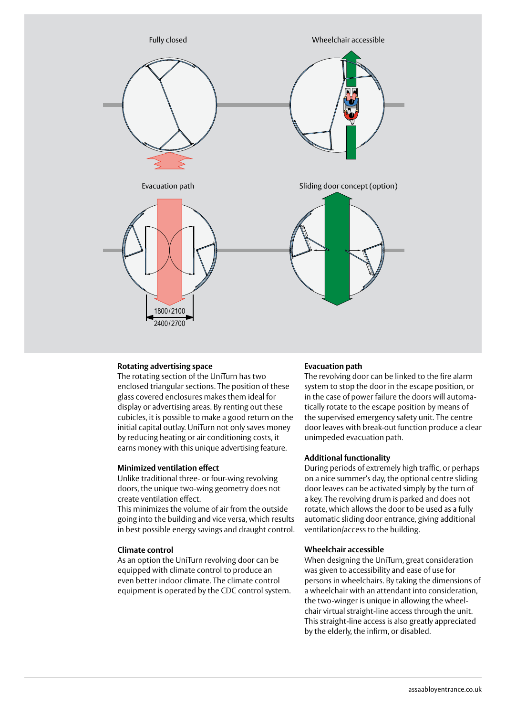

### **Rotating advertising space**

The rotating section of the UniTurn has two enclosed triangular sections. The position of these glass covered enclosures makes them ideal for display or advertising areas. By renting out these cubicles, it is possible to make a good return on the initial capital outlay. UniTurn not only saves money by reducing heating or air conditioning costs, it earns money with this unique advertising feature.

#### **Minimized ventilation effect**

Unlike traditional three- or four-wing revolving doors, the unique two-wing geometry does not create ventilation effect.

This minimizes the volume of air from the outside going into the building and vice versa, which results in best possible energy savings and draught control.

#### **Climate control**

As an option the UniTurn revolving door can be equipped with climate control to produce an even better indoor climate. The climate control equipment is operated by the CDC control system.

#### **Evacuation path**

The revolving door can be linked to the fire alarm system to stop the door in the escape position, or in the case of power failure the doors will automatically rotate to the escape position by means of the supervised emergency safety unit. The centre door leaves with break-out function produce a clear unimpeded evacuation path.

#### **Additional functionality**

During periods of extremely high traffic, or perhaps on a nice summer's day, the optional centre sliding door leaves can be activated simply by the turn of a key. The revolving drum is parked and does not rotate, which allows the door to be used as a fully automatic sliding door entrance, giving additional ventilation/access to the building.

#### **Wheelchair accessible**

When designing the UniTurn, great consideration was given to accessibility and ease of use for persons in wheelchairs. By taking the dimensions of a wheelchair with an attendant into consideration, the two-winger is unique in allowing the wheelchair virtual straight-line access through the unit. This straight-line access is also greatly appreciated by the elderly, the infirm, or disabled.